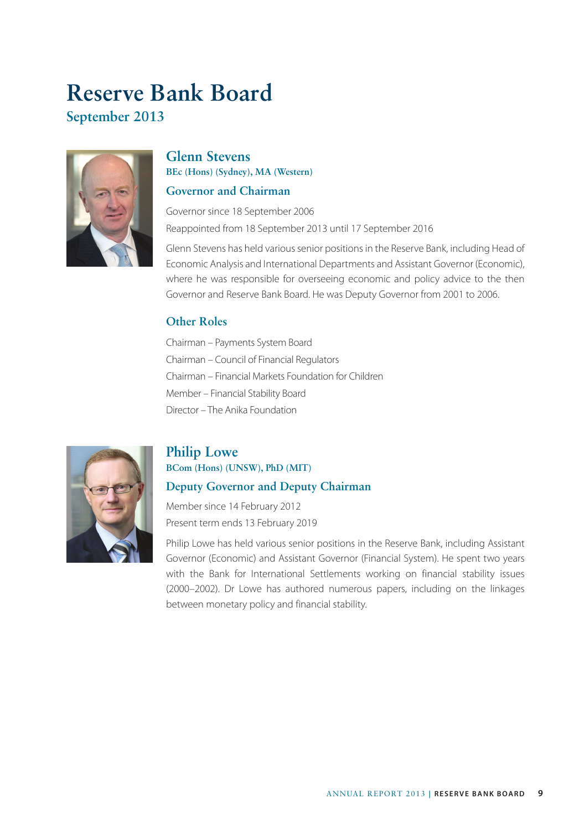# **September 2013 Reserve Bank Board**



### **Glenn Stevens BEc (Hons) (Sydney), MA (Western)**

#### **Governor and Chairman**

Governor since 18 September 2006 Reappointed from 18 September 2013 until 17 September 2016

Glenn Stevens has held various senior positions in the Reserve Bank, including Head of Economic Analysis and International Departments and Assistant Governor (Economic), where he was responsible for overseeing economic and policy advice to the then Governor and Reserve Bank Board. He was Deputy Governor from 2001 to 2006.

#### **Other Roles**

Chairman – Payments System Board Chairman – Council of Financial Regulators Chairman – Financial Markets Foundation for Children Member – Financial Stability Board Director – The Anika Foundation



# **Philip Lowe**

# **BCom (Hons) (UNSW), PhD (MIT)**

#### **Deputy Governor and Deputy Chairman**

Member since 14 February 2012 Present term ends 13 February 2019

Philip Lowe has held various senior positions in the Reserve Bank, including Assistant Governor (Economic) and Assistant Governor (Financial System). He spent two years with the Bank for International Settlements working on financial stability issues (2000–2002). Dr Lowe has authored numerous papers, including on the linkages between monetary policy and financial stability.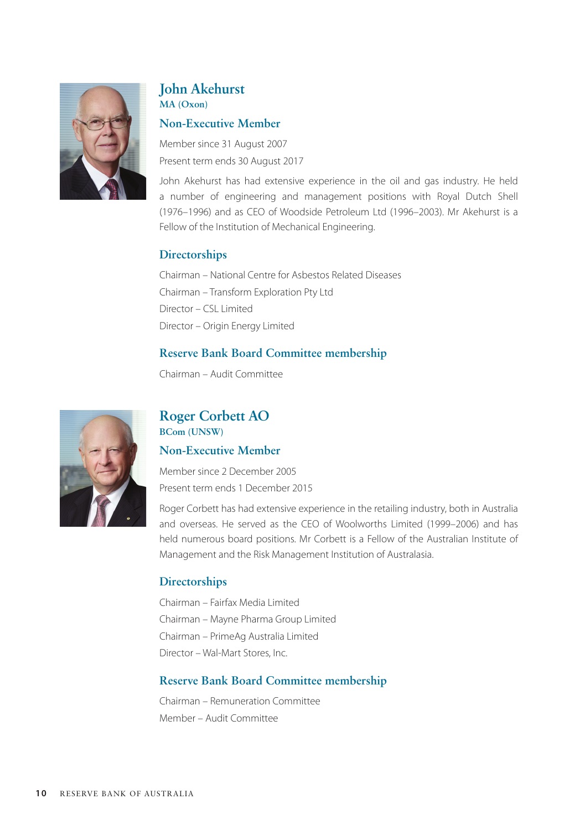

#### **John Akehurst MA (Oxon)**

#### **Non-Executive Member**

Member since 31 August 2007 Present term ends 30 August 2017

John Akehurst has had extensive experience in the oil and gas industry. He held a number of engineering and management positions with Royal Dutch Shell (1976–1996) and as CEO of Woodside Petroleum Ltd (1996–2003). Mr Akehurst is a Fellow of the Institution of Mechanical Engineering.

#### **Directorships**

Chairman – National Centre for Asbestos Related Diseases Chairman – Transform Exploration Pty Ltd Director – CSL Limited Director – Origin Energy Limited

#### **Reserve Bank Board Committee membership**

Chairman – Audit Committee



#### **Roger Corbett AO BCom (UNSW)**

#### **Non-Executive Member**

Member since 2 December 2005 Present term ends 1 December 2015

Roger Corbett has had extensive experience in the retailing industry, both in Australia and overseas. He served as the CEO of Woolworths Limited (1999–2006) and has held numerous board positions. Mr Corbett is a Fellow of the Australian Institute of Management and the Risk Management Institution of Australasia.

#### **Directorships**

Chairman – Fairfax Media Limited Chairman – Mayne Pharma Group Limited Chairman – PrimeAg Australia Limited Director – Wal-Mart Stores, Inc.

#### **Reserve Bank Board Committee membership**

Chairman – Remuneration Committee Member – Audit Committee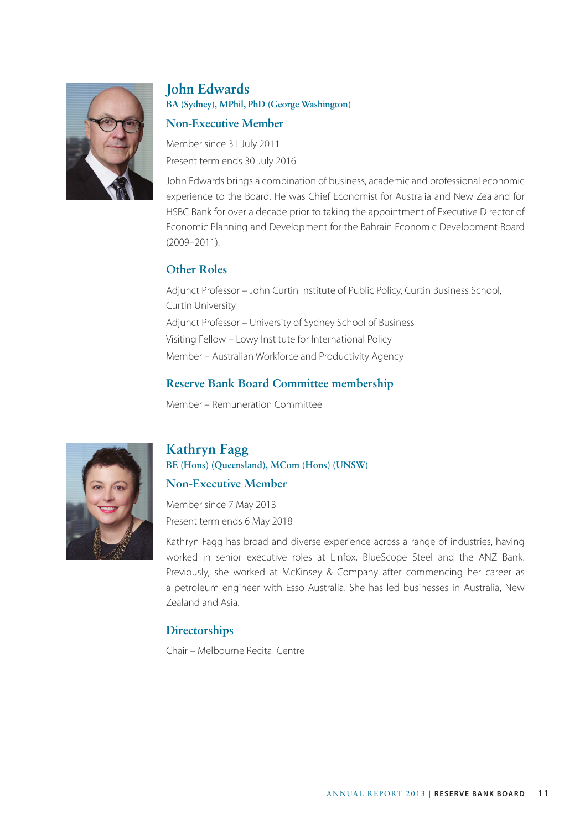

# **John Edwards BA (Sydney), MPhil, PhD (George Washington)**

#### **Non-Executive Member**

Member since 31 July 2011 Present term ends 30 July 2016

John Edwards brings a combination of business, academic and professional economic experience to the Board. He was Chief Economist for Australia and New Zealand for HSBC Bank for over a decade prior to taking the appointment of Executive Director of Economic Planning and Development for the Bahrain Economic Development Board (2009–2011).

#### **Other Roles**

Adjunct Professor – John Curtin Institute of Public Policy, Curtin Business School, Curtin University Adjunct Professor – University of Sydney School of Business Visiting Fellow – Lowy Institute for International Policy Member – Australian Workforce and Productivity Agency

#### **Reserve Bank Board Committee membership**

Member – Remuneration Committee



# **Kathryn Fagg**

**BE (Hons) (Queensland), MCom (Hons) (UNSW)**

#### **Non-Executive Member**

Member since 7 May 2013 Present term ends 6 May 2018

Kathryn Fagg has broad and diverse experience across a range of industries, having worked in senior executive roles at Linfox, BlueScope Steel and the ANZ Bank. Previously, she worked at McKinsey & Company after commencing her career as a petroleum engineer with Esso Australia. She has led businesses in Australia, New Zealand and Asia.

#### **Directorships**

Chair – Melbourne Recital Centre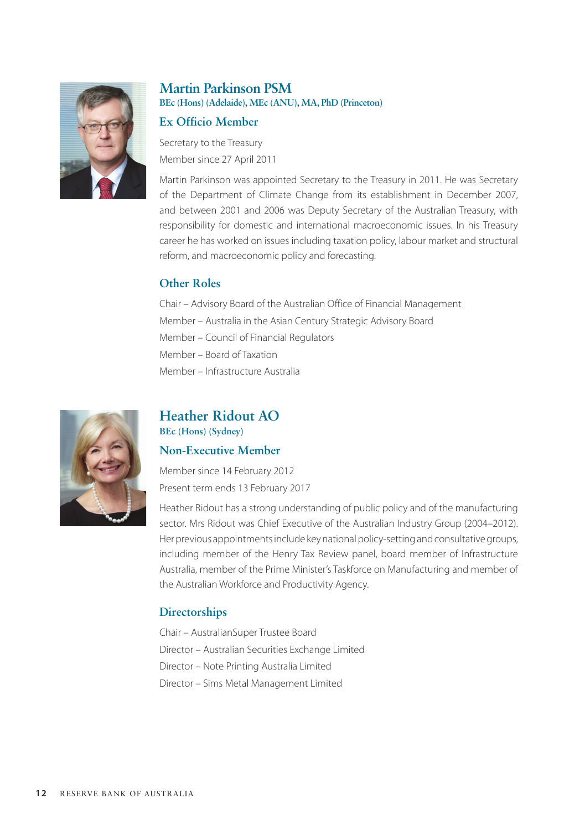

#### **Martin Parkinson PSM BEc (Hons) (Adelaide), MEc (ANU), MA, PhD (Princeton)**

#### **Ex Officio Member**

Secretary to the Treasury Member since 27 April 2011

Martin Parkinson was appointed Secretary to the Treasury in 2011. He was Secretary of the Department of Climate Change from its establishment in December 2007, and between 2001 and 2006 was Deputy Secretary of the Australian Treasury, with responsibility for domestic and international macroeconomic issues. In his Treasury career he has worked on issues including taxation policy, labour market and structural reform, and macroeconomic policy and forecasting.

#### **Other Roles**

Chair – Advisory Board of the Australian Office of Financial Management Member – Australia in the Asian Century Strategic Advisory Board Member – Council of Financial Regulators Member – Board of Taxation Member – Infrastructure Australia



#### **Heather Ridout AO BEc (Hons) (Sydney)**

#### **Non-Executive Member**

Member since 14 February 2012 Present term ends 13 February 2017

Heather Ridout has a strong understanding of public policy and of the manufacturing sector. Mrs Ridout was Chief Executive of the Australian Industry Group (2004–2012). Her previous appointments include key national policy-setting and consultative groups, including member of the Henry Tax Review panel, board member of Infrastructure Australia, member of the Prime Minister's Taskforce on Manufacturing and member of the Australian Workforce and Productivity Agency.

#### **Directorships**

Chair – AustralianSuper Trustee Board Director – Australian Securities Exchange Limited Director – Note Printing Australia Limited Director – Sims Metal Management Limited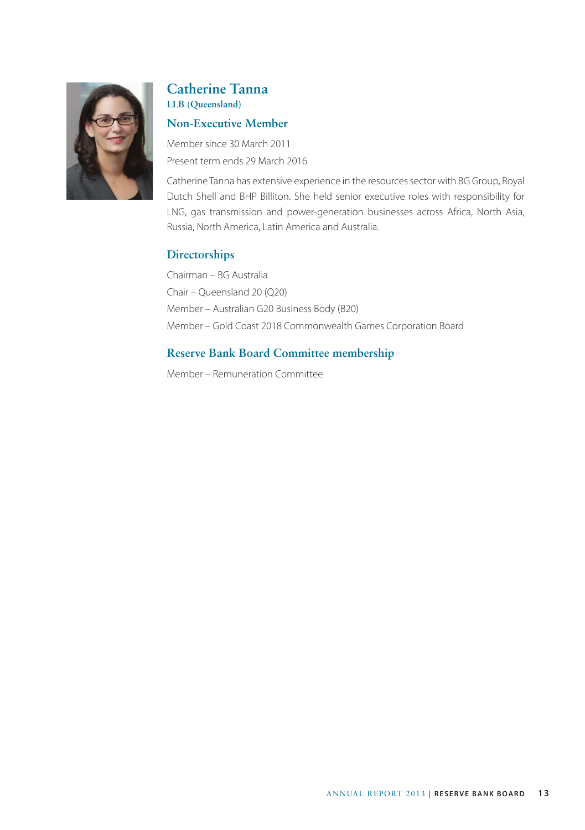

#### **Catherine Tanna LLB (Queensland)**

#### **Non-Executive Member**

Member since 30 March 2011 Present term ends 29 March 2016

Catherine Tanna has extensive experience in the resources sector with BG Group, Royal Dutch Shell and BHP Billiton. She held senior executive roles with responsibility for LNG, gas transmission and power-generation businesses across Africa, North Asia, Russia, North America, Latin America and Australia.

#### **Directorships**

Chairman – BG Australia Chair – Queensland 20 (Q20) Member – Australian G20 Business Body (B20) Member – Gold Coast 2018 Commonwealth Games Corporation Board

### **Reserve Bank Board Committee membership**

Member – Remuneration Committee